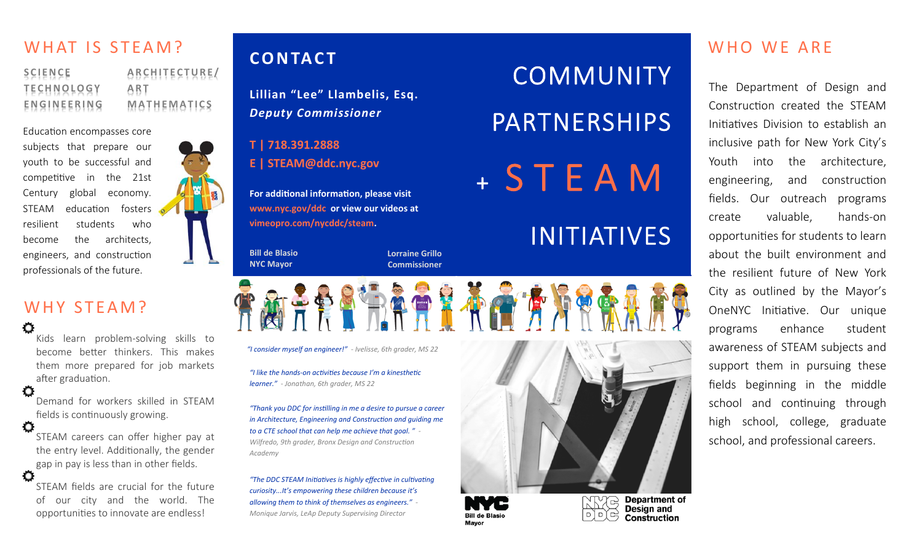## WHAT IS STEAM?

**SCIENCE TECHNOLOGY ENGINEERING ARCHITECTURE/ ART MATHEMATICS**

Education encompasses core subjects that prepare our youth to be successful and competitive in the 21st Century global economy. STEAM education fosters resilient students who become the architects, engineers, and construction professionals of the future.

### WHY STFAM?

Ō

O

O

Kids learn problem‐solving skills to become better thinkers. This makes them more prepared for job markets after graduation.

Demand for workers skilled in STEAM fields is continuously growing.

Ö STEAM careers can offer higher pay at the entry level. Additionally, the gender gap in pay is less than in other fields.

STEAM fields are crucial for the future of our city and the world. The opportunities to innovate are endless!

**Lillian "Lee" Llambelis, Esq.**  *Deputy Commissioner* 

**T | 718.391.2888** 

**E | STEAM@ddc.nyc.gov** 

**For additional information, please visit www.nyc.gov/ddc or view our videos at vimeopro.com/nycddc/steam.** 

*"I like the hands‐on acƟviƟes because I'm a kinestheƟc* 

*"I consider myself an engineer!" ‐ Ivelisse, 6th grader, MS 22* 

*"Thank you DDC for insƟlling in me a desire to pursue a career in Architecture, Engineering and Construction and guiding me to a CTE school that can help me achieve that goal. " ‐ Wilfredo, 9th grader, Bronx Design and Construction* 

*"The DDC STEAM IniƟaƟves is highly effecƟve in culƟvaƟng curiosity...It's empowering these children because it's allowing them to think of themselves as engineers." ‐ Monique Jarvis, LeAp Deputy Supervising Director* 

*learner." ‐ Jonathan, 6th grader, MS 22* 

**Bill de Blasio NYC Mayor** 

*Academy* 

**Lorraine Grillo Commissioner** 

COMMUNITY PARTNERSHIPS + STEAM

# INITIATIVES



 $\Box$ 

至心心情

**Bill de Blasio** 

**Mavor** 

Design and œ **Construction** 

## WHO WE ARE **CONTACT**

The Department of Design and Construction created the STFAM Initiatives Division to establish an inclusive path for New York City's Youth into the architecture, engineering, and construction fields. Our outreach programs create valuable, hands‐on opportuniƟes for students to learn about the built environment and the resilient future of New York City as outlined by the Mayor's OneNYC Initiative. Our unique programs enhance student awareness of STEAM subjects and support them in pursuing these fields beginning in the middle school and continuing through high school, college, graduate school, and professional careers.